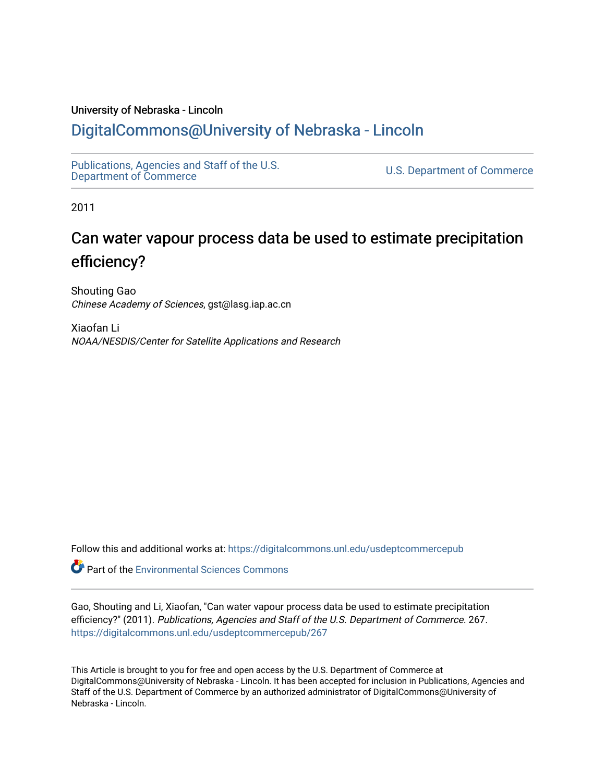### University of Nebraska - Lincoln

### [DigitalCommons@University of Nebraska - Lincoln](https://digitalcommons.unl.edu/)

[Publications, Agencies and Staff of the U.S.](https://digitalcommons.unl.edu/usdeptcommercepub)

U.S. [Department of Commerce](https://digitalcommons.unl.edu/usdeptcommercepub)

2011

# Can water vapour process data be used to estimate precipitation efficiency?

Shouting Gao Chinese Academy of Sciences, gst@lasg.iap.ac.cn

Xiaofan Li NOAA/NESDIS/Center for Satellite Applications and Research

Follow this and additional works at: [https://digitalcommons.unl.edu/usdeptcommercepub](https://digitalcommons.unl.edu/usdeptcommercepub?utm_source=digitalcommons.unl.edu%2Fusdeptcommercepub%2F267&utm_medium=PDF&utm_campaign=PDFCoverPages)

**C** Part of the [Environmental Sciences Commons](http://network.bepress.com/hgg/discipline/167?utm_source=digitalcommons.unl.edu%2Fusdeptcommercepub%2F267&utm_medium=PDF&utm_campaign=PDFCoverPages)

Gao, Shouting and Li, Xiaofan, "Can water vapour process data be used to estimate precipitation efficiency?" (2011). Publications, Agencies and Staff of the U.S. Department of Commerce. 267. [https://digitalcommons.unl.edu/usdeptcommercepub/267](https://digitalcommons.unl.edu/usdeptcommercepub/267?utm_source=digitalcommons.unl.edu%2Fusdeptcommercepub%2F267&utm_medium=PDF&utm_campaign=PDFCoverPages) 

This Article is brought to you for free and open access by the U.S. Department of Commerce at DigitalCommons@University of Nebraska - Lincoln. It has been accepted for inclusion in Publications, Agencies and Staff of the U.S. Department of Commerce by an authorized administrator of DigitalCommons@University of Nebraska - Lincoln.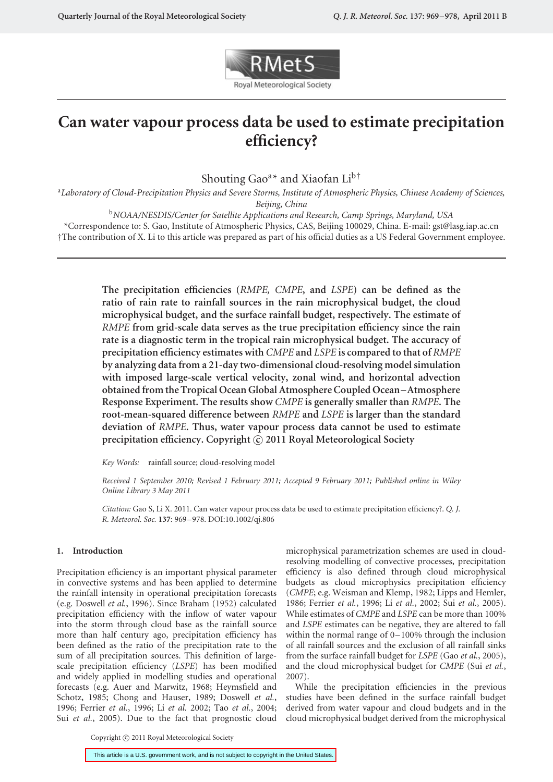

## **Can water vapour process data be used to estimate precipitation efficiency?**

Shouting Gao<sup>a\*</sup> and Xiaofan Li<sup>b†</sup>

<sup>a</sup>*Laboratory of Cloud-Precipitation Physics and Severe Storms, Institute of Atmospheric Physics, Chinese Academy of Sciences, Beijing, China*

<sup>b</sup>*NOAA/NESDIS/Center for Satellite Applications and Research, Camp Springs, Maryland, USA*

\*Correspondence to: S. Gao, Institute of Atmospheric Physics, CAS, Beijing 100029, China. E-mail: gst@lasg.iap.ac.cn †The contribution of X. Li to this article was prepared as part of his official duties as a US Federal Government employee.

**The precipitation efficiencies (***RMPE, CMPE***, and** *LSPE***) can be defined as the ratio of rain rate to rainfall sources in the rain microphysical budget, the cloud microphysical budget, and the surface rainfall budget, respectively. The estimate of** *RMPE* **from grid-scale data serves as the true precipitation efficiency since the rain rate is a diagnostic term in the tropical rain microphysical budget. The accuracy of precipitation efficiency estimates with** *CMPE* **and** *LSPE* **is compared to that of** *RMPE* **by analyzing data from a 21-day two-dimensional cloud-resolving model simulation with imposed large-scale vertical velocity, zonal wind, and horizontal advection obtained from the Tropical Ocean Global Atmosphere Coupled Ocean–Atmosphere Response Experiment. The results show** *CMPE* **is generally smaller than** *RMPE***. The root-mean-squared difference between** *RMPE* **and** *LSPE* **is larger than the standard deviation of** *RMPE***. Thus, water vapour process data cannot be used to estimate precipitation efficiency. Copyright c 2011 Royal Meteorological Society**

*Key Words:* rainfall source; cloud-resolving model

*Received 1 September 2010; Revised 1 February 2011; Accepted 9 February 2011; Published online in Wiley Online Library 3 May 2011*

*Citation:* Gao S, Li X. 2011. Can water vapour process data be used to estimate precipitation efficiency?. *Q. J. R. Meteorol. Soc.* **137**: 969–978. DOI:10.1002/qj.806

#### **1. Introduction**

Precipitation efficiency is an important physical parameter in convective systems and has been applied to determine the rainfall intensity in operational precipitation forecasts (e.g. Doswell *et al.*, 1996). Since Braham (1952) calculated precipitation efficiency with the inflow of water vapour into the storm through cloud base as the rainfall source more than half century ago, precipitation efficiency has been defined as the ratio of the precipitation rate to the sum of all precipitation sources. This definition of largescale precipitation efficiency (*LSPE*) has been modified and widely applied in modelling studies and operational forecasts (e.g. Auer and Marwitz, 1968; Heymsfield and Schotz, 1985; Chong and Hauser, 1989; Doswell *et al.*, 1996; Ferrier *et al.*, 1996; Li *et al.* 2002; Tao *et al.*, 2004; Sui *et al.*, 2005). Due to the fact that prognostic cloud

microphysical parametrization schemes are used in cloudresolving modelling of convective processes, precipitation efficiency is also defined through cloud microphysical budgets as cloud microphysics precipitation efficiency (*CMPE*; e.g. Weisman and Klemp, 1982; Lipps and Hemler, 1986; Ferrier *et al.*, 1996; Li *et al.*, 2002; Sui *et al.*, 2005). While estimates of *CMPE* and *LSPE* can be more than 100% and *LSPE* estimates can be negative, they are altered to fall within the normal range of 0–100% through the inclusion of all rainfall sources and the exclusion of all rainfall sinks from the surface rainfall budget for *LSPE* (Gao *et al.*, 2005), and the cloud microphysical budget for *CMPE* (Sui *et al.*, 2007).

While the precipitation efficiencies in the previous studies have been defined in the surface rainfall budget derived from water vapour and cloud budgets and in the cloud microphysical budget derived from the microphysical

Copyright C 2011 Royal Meteorological Society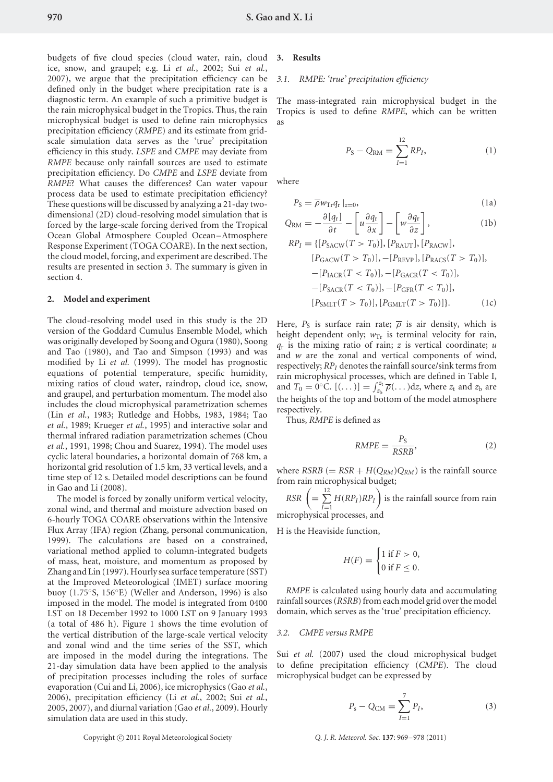budgets of five cloud species (cloud water, rain, cloud **3. Results** ice, snow, and graupel; e.g. Li *et al.*, 2002; Sui *et al.*, 2007), we argue that the precipitation efficiency can be defined only in the budget where precipitation rate is a diagnostic term. An example of such a primitive budget is the rain microphysical budget in the Tropics. Thus, the rain microphysical budget is used to define rain microphysics precipitation efficiency (*RMPE*) and its estimate from gridscale simulation data serves as the 'true' precipitation efficiency in this study. *LSPE* and *CMPE* may deviate from *RMPE* because only rainfall sources are used to estimate precipitation efficiency. Do *CMPE* and *LSPE* deviate from *RMPE*? What causes the differences? Can water vapour process data be used to estimate precipitation efficiency? These questions will be discussed by analyzing a 21-day twodimensional (2D) cloud-resolving model simulation that is forced by the large-scale forcing derived from the Tropical Ocean Global Atmosphere Coupled Ocean–Atmosphere Response Experiment (TOGA COARE). In the next section, the cloud model, forcing, and experiment are described. The results are presented in section 3. The summary is given in section 4.

#### **2. Model and experiment**

The cloud-resolving model used in this study is the 2D version of the Goddard Cumulus Ensemble Model, which was originally developed by Soong and Ogura (1980), Soong and Tao (1980), and Tao and Simpson (1993) and was modified by Li *et al.* (1999). The model has prognostic equations of potential temperature, specific humidity, mixing ratios of cloud water, raindrop, cloud ice, snow, and graupel, and perturbation momentum. The model also includes the cloud microphysical parametrization schemes (Lin *et al.*, 1983; Rutledge and Hobbs, 1983, 1984; Tao *et al.*, 1989; Krueger *et al.*, 1995) and interactive solar and thermal infrared radiation parametrization schemes (Chou *et al.*, 1991, 1998; Chou and Suarez, 1994). The model uses cyclic lateral boundaries, a horizontal domain of 768 km, a horizontal grid resolution of 1.5 km, 33 vertical levels, and a time step of 12 s. Detailed model descriptions can be found in Gao and Li (2008).

The model is forced by zonally uniform vertical velocity, zonal wind, and thermal and moisture advection based on 6-hourly TOGA COARE observations within the Intensive Flux Array (IFA) region (Zhang, personal communication, 1999). The calculations are based on a constrained, variational method applied to column-integrated budgets of mass, heat, moisture, and momentum as proposed by Zhang and Lin (1997). Hourly sea surface temperature (SST) at the Improved Meteorological (IMET) surface mooring buoy (1.75◦S, 156◦E) (Weller and Anderson, 1996) is also imposed in the model. The model is integrated from 0400 LST on 18 December 1992 to 1000 LST on 9 January 1993 (a total of 486 h). Figure 1 shows the time evolution of the vertical distribution of the large-scale vertical velocity and zonal wind and the time series of the SST, which are imposed in the model during the integrations. The 21-day simulation data have been applied to the analysis of precipitation processes including the roles of surface evaporation (Cui and Li, 2006), ice microphysics (Gao *et al.*, 2006), precipitation efficiency (Li *et al.*, 2002; Sui *et al.*, 2005, 2007), and diurnal variation (Gao *et al.*, 2009). Hourly simulation data are used in this study.

#### *3.1. RMPE: 'true' precipitation efficiency*

The mass-integrated rain microphysical budget in the Tropics is used to define *RMPE*, which can be written as

$$
P_{\rm S} - Q_{\rm RM} = \sum_{I=1}^{12} R P_I, \tag{1}
$$

where

$$
P_{\rm S} = \overline{\rho} w_{\rm Tr} q_{\rm r} \left|_{z=0},\right. \tag{1a}
$$

$$
Q_{RM} = -\frac{\partial [q_r]}{\partial t} - \left[ u \frac{\partial q_r}{\partial x} \right] - \left[ w \frac{\partial q_r}{\partial z} \right],
$$
 (1b)

$$
RP_I = \{ [P_{SACW}(T > T_0)], [P_{RAUT}], [P_{RACW}],
$$
  
\n
$$
[P_{GACW}(T > T_0)], -[P_{REVP}], [P_{RACS}(T > T_0)],
$$
  
\n
$$
-[P_{IACR}(T < T_0)], -[P_{GACR}(T < T_0)],
$$
  
\n
$$
-[P_{SACR}(T < T_0)], -[P_{GFR}(T < T_0)],
$$
  
\n
$$
[P_{SMLT}(T > T_0)], [P_{GMLT}(T > T_0)],
$$
 (1c)

Here,  $P_S$  is surface rain rate;  $\overline{\rho}$  is air density, which is height dependent only;  $w_{Tr}$  is terminal velocity for rain, *q*<sup>r</sup> is the mixing ratio of rain; *z* is vertical coordinate; *u* and *w* are the zonal and vertical components of wind, respectively; *RPI* denotes the rainfall source/sink terms from rain microphysical processes, which are defined in Table I, and  $T_0 = 0^\circ \text{C.} [$ ...) $] = \int_{z_b}^{z_t} \overline{\rho}$ ...)dz, where  $z_t$  and  $z_b$  are the heights of the top and bottom of the model atmosphere respectively.

Thus, *RMPE* is defined as

$$
RMPE = \frac{P_S}{RSRB},\tag{2}
$$

where  $RSRB (= RSR + H(Q_{RM})Q_{RM})$  is the rainfall source from rain microphysical budget;

$$
RSR = \sum_{l=1}^{12} H(RP_l)RP_l
$$
 is the rainfall source from rain

microphysical processes, and

H is the Heaviside function,

$$
H(F) = \begin{cases} 1 \text{ if } F > 0, \\ 0 \text{ if } F \le 0. \end{cases}
$$

*RMPE* is calculated using hourly data and accumulating rainfall sources (*RSRB*) from each model grid over the model domain, which serves as the 'true' precipitation efficiency.

#### *3.2. CMPE versus RMPE*

Sui *et al.* (2007) used the cloud microphysical budget to define precipitation efficiency (*CMPE*). The cloud microphysical budget can be expressed by

$$
P_{\rm s} - Q_{\rm CM} = \sum_{I=1}^{7} P_{I}, \qquad (3)
$$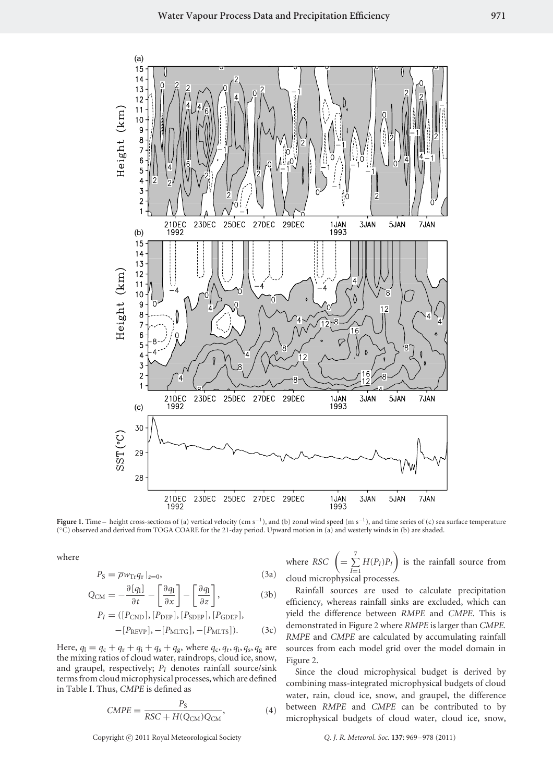

**Figure 1.** Time **–** height cross-sections of (a) vertical velocity (cm s<sup>−</sup>1), and (b) zonal wind speed (m s<sup>−</sup>1), and time series of (c) sea surface temperature (◦C) observed and derived from TOGA COARE for the 21-day period. Upward motion in (a) and westerly winds in (b) are shaded.

where

$$
P_{\rm S} = \overline{\rho} w_{\rm Tr} q_{\rm r} \left|_{z=0},\right. \tag{3a}
$$

$$
Q_{\rm CM} = -\frac{\partial [q_1]}{\partial t} - \left[\frac{\partial q_1}{\partial x}\right] - \left[\frac{\partial q_1}{\partial z}\right],\tag{3b}
$$

$$
P_I = ([P_{\text{CND}}], [P_{\text{DEP}}], [P_{\text{SDEP}}], [P_{\text{GDEP}}],
$$
  
-[P\_{\text{REVP}}], -[P\_{\text{MLTG}}], -[P\_{\text{MLTS}}]. (3c)

Here,  $q_1 = q_c + q_r + q_i + q_s + q_g$ , where  $q_c, q_r, q_i, q_s, q_g$  are the mixing ratios of cloud water, raindrops, cloud ice, snow, and graupel, respectively;  $P_I$  denotes rainfall source/sink terms from cloud microphysical processes, which are defined in Table I. Thus, *CMPE* is defined as

$$
CMPE = \frac{P_{\rm S}}{RSC + H(Q_{\rm CM})Q_{\rm CM}},\tag{4}
$$

where *RSC*  $\left( = \sum_{i=1}^{7} \right)$  $\sum_{I=1}^{7} H(P_I)P_I$  is the rainfall source from cloud microphysical processes.

Rainfall sources are used to calculate precipitation efficiency, whereas rainfall sinks are excluded, which can yield the difference between *RMPE* and *CMPE*. This is demonstrated in Figure 2 where *RMPE* is larger than *CMPE. RMPE* and *CMPE* are calculated by accumulating rainfall sources from each model grid over the model domain in Figure 2.

Since the cloud microphysical budget is derived by combining mass-integrated microphysical budgets of cloud water, rain, cloud ice, snow, and graupel, the difference between *RMPE* and *CMPE* can be contributed to by microphysical budgets of cloud water, cloud ice, snow,

### Copyright (C) 2011 Royal Meteorological Society *Q. J. R. Meteorol. Soc.* 137: 969–978 (2011)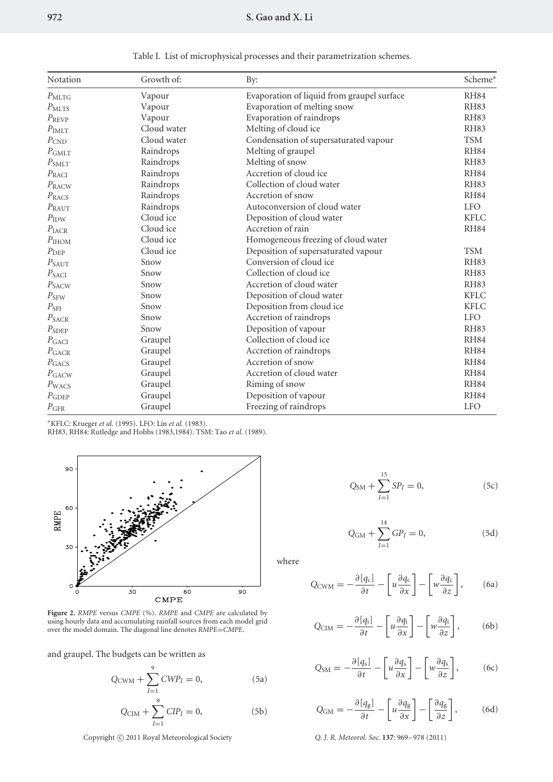| Notation                       | Growth of:  | By:                                        | Scheme*     |  |
|--------------------------------|-------------|--------------------------------------------|-------------|--|
| $P_{\text{MLTG}}$              | Vapour      | Evaporation of liquid from graupel surface | <b>RH84</b> |  |
| $P_{\text{MLTS}}$              | Vapour      | Evaporation of melting snow                | <b>RH83</b> |  |
| $P_{\text{REVP}}$              | Vapour      | Evaporation of raindrops                   | RH83        |  |
| $P_{\rm IMLT}$                 | Cloud water | Melting of cloud ice                       | <b>RH83</b> |  |
| $P_{\mathrm{CND}}$             | Cloud water | Condensation of supersaturated vapour      | <b>TSM</b>  |  |
| $P_{GMLT}$                     | Raindrops   | Melting of graupel                         | RH84        |  |
| $P_{\rm SMLT}$                 | Raindrops   | Melting of snow                            | RH83        |  |
| $P_{\rm RACI}$                 | Raindrops   | Accretion of cloud ice                     | <b>RH84</b> |  |
| $P_{\rm RACW}$                 | Raindrops   | Collection of cloud water                  | <b>RH83</b> |  |
| $P_{\rm RACS}$                 | Raindrops   | Accretion of snow                          | RH84        |  |
| $P_{\rm RAUT}$                 | Raindrops   | Autoconversion of cloud water              | <b>LFO</b>  |  |
| $P_{IDW}$                      | Cloud ice   | Deposition of cloud water                  | <b>KFLC</b> |  |
| $P_{\rm IACR}$                 | Cloud ice   | Accretion of rain                          | RH84        |  |
| $P_{\text{IHOM}}$              | Cloud ice   | Homogeneous freezing of cloud water        |             |  |
| $P_{\rm DEP}$                  | Cloud ice   | Deposition of supersaturated vapour        | <b>TSM</b>  |  |
| $P_{\rm SAUT}$                 | Snow        | Conversion of cloud ice                    | <b>RH83</b> |  |
| $P_{\text{SACI}}$              | Snow        | Collection of cloud ice                    | <b>RH83</b> |  |
| $P_{\text{SACW}}$              | Snow        | Accretion of cloud water                   | RH83        |  |
| $P_{\text{SEW}}$               | Snow        | Deposition of cloud water                  | <b>KFLC</b> |  |
| $P_{\rm SFI}$                  | Snow        | Deposition from cloud ice                  | <b>KFLC</b> |  |
| $P_{\ensuremath{\text{SACR}}}$ | Snow        | Accretion of raindrops                     | <b>LFO</b>  |  |
| $P_{\rm SDEP}$                 | Snow        | Deposition of vapour                       | <b>RH83</b> |  |
| $P_{\mathrm{GACI}}$            | Graupel     | Collection of cloud ice                    | RH84        |  |
| $P_{\text{GACR}}$              | Graupel     | Accretion of raindrops                     | RH84        |  |
| $P_{GACS}$                     | Graupel     | Accretion of snow                          | <b>RH84</b> |  |
| $P_{\mathrm{GACW}}$            | Graupel     | Accretion of cloud water                   | <b>RH84</b> |  |
| $P_{\text{WACS}}$              | Graupel     | Riming of snow                             | RH84        |  |
| $P_{\rm GDEP}$                 | Graupel     | Deposition of vapour                       | <b>RH84</b> |  |
| $P_{\text{GFR}}$               | Graupel     | Freezing of raindrops                      | <b>LFO</b>  |  |

Table I. List of microphysical processes and their parametrization schemes.

<sup>∗</sup>KFLC: Krueger *et al.* (1995). LFO: Lin *et al.* (1983).

RH83, RH84: Rutledge and Hobbs (1983,1984). TSM: Tao *et al.* (1989).



**Figure 2.** *RMPE* versus *CMPE* (%). *RMPE* and *CMPE* are calculated by using hourly data and accumulating rainfall sources from each model grid over the model domain. The diagonal line denotes *RMPE*=*CMPE*.

and graupel. The budgets can be written as

$$
Q_{\text{CWM}} + \sum_{I=1}^{9} CWP_I = 0, \tag{5a}
$$

$$
Q_{\text{CIM}} + \sum_{I=1}^{9} CIP_I = 0, \tag{5b}
$$

Copyright © 2011 Royal Meteorological Society *Q. J. R. Meteorol. Soc.* 137: 969–978 (2011)

$$
Q_{\rm SM} + \sum_{I=1}^{15} SP_I = 0, \tag{5c}
$$

$$
Q_{GM} + \sum_{I=1}^{14} GP_I = 0,
$$
 (5d)

where

$$
Q_{\text{CWM}} = -\frac{\partial [q_{\text{c}}]}{\partial t} - \left[ u \frac{\partial q_{\text{c}}}{\partial x} \right] - \left[ w \frac{\partial q_{\text{c}}}{\partial z} \right],\tag{6a}
$$

$$
Q_{\text{CIM}} = -\frac{\partial [q_i]}{\partial t} - \left[ u \frac{\partial q_i}{\partial x} \right] - \left[ w \frac{\partial q_i}{\partial z} \right],\tag{6b}
$$

$$
Q_{\rm SM} = -\frac{\partial [q_{\rm s}]}{\partial t} - \left[ u \frac{\partial q_{\rm s}}{\partial x} \right] - \left[ w \frac{\partial q_{\rm s}}{\partial z} \right],\tag{6c}
$$

$$
Q_{GM} = -\frac{\partial [q_g]}{\partial t} - \left[ u \frac{\partial q_g}{\partial x} \right] - \left[ \frac{\partial q_g}{\partial z} \right],\tag{6d}
$$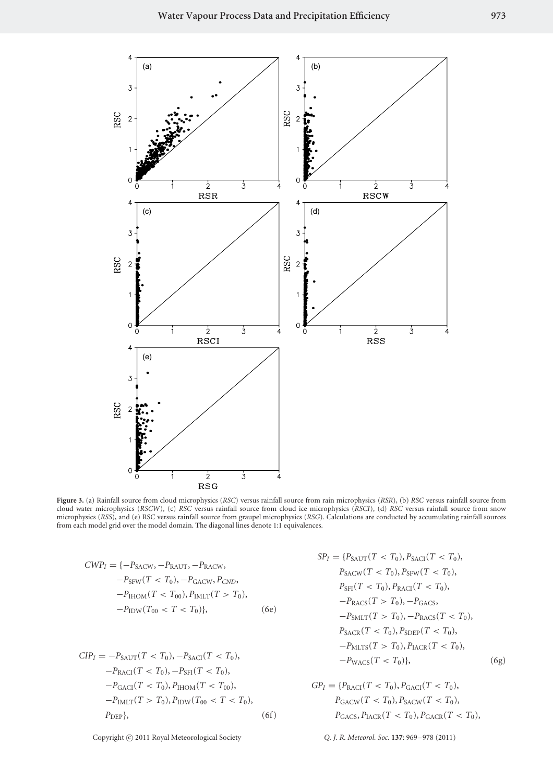

**Figure 3.** (a) Rainfall source from cloud microphysics (*RSC*) versus rainfall source from rain microphysics (*RSR*), (b) *RSC* versus rainfall source from cloud water microphysics (*RSCW*), (c) *RSC* versus rainfall source from cloud ice microphysics (*RSCI*), (d) *RSC* versus rainfall source from snow microphysics (*RSS*), and (e) RSC versus rainfall source from graupel microphysics (*RSG*). Calculations are conducted by accumulating rainfall sources from each model grid over the model domain. The diagonal lines denote 1:1 equivalences.

$$
CWP_I = \{-P_{\text{SACW}}, -P_{\text{RAUT}}, -P_{\text{RACW}}, -P_{\text{SACW}}\}
$$

$$
-P_{\text{SFW}}(T < T_0), -P_{\text{GACW}}, P_{\text{CND}}, -P_{\text{IHOM}}(T < T_{00}), P_{\text{IMLT}}(T > T_0), -P_{\text{IDW}}(T_{00} < T < T_0)\}, \tag{6e}
$$

$$
CIP_I = -P_{\text{SAUT}}(T < T_0), -P_{\text{SACI}}(T < T_0),
$$
\n
$$
-P_{\text{RACI}}(T < T_0), -P_{\text{SFI}}(T < T_0),
$$
\n
$$
-P_{\text{GACI}}(T < T_0), P_{\text{HOM}}(T < T_{00}),
$$
\n
$$
-P_{\text{IMLT}}(T > T_0), P_{\text{IDW}}(T_{00} < T < T_0),
$$
\n
$$
P_{\text{DEP}}\}, \tag{6f}
$$

$$
SP_{I} = \{P_{SAUT}(T < T_{0}), P_{SACI}(T < T_{0}),\n P_{SACW}(T < T_{0}), P_{SFW}(T < T_{0}),\n P_{SFI}(T < T_{0}), P_{RACI}(T < T_{0}),\n - P_{RACS}(T > T_{0}), - P_{GACS},\n - P_{SMLT}(T > T_{0}), - P_{RACS}(T < T_{0}),\n P_{SACR}(T < T_{0}), P_{SDEP}(T < T_{0}),\n - P_{MLTS}(T > T_{0}), P_{IACR}(T < T_{0}),\n - P_{WACS}(T < T_{0})\},\n (6g)
$$

$$
GP_I = \{P_{RACI}(T < T_0), P_{GACI}(T < T_0),\n P_{GACW}(T < T_0), P_{SACW}(T < T_0),\n P_{GACS}, P_{IACR}(T < T_0), P_{GACR}(T < T_0),\n \}
$$

Copyright © 2011 Royal Meteorological Society *Q. J. R. Meteorol. Soc.* 137: 969–978 (2011)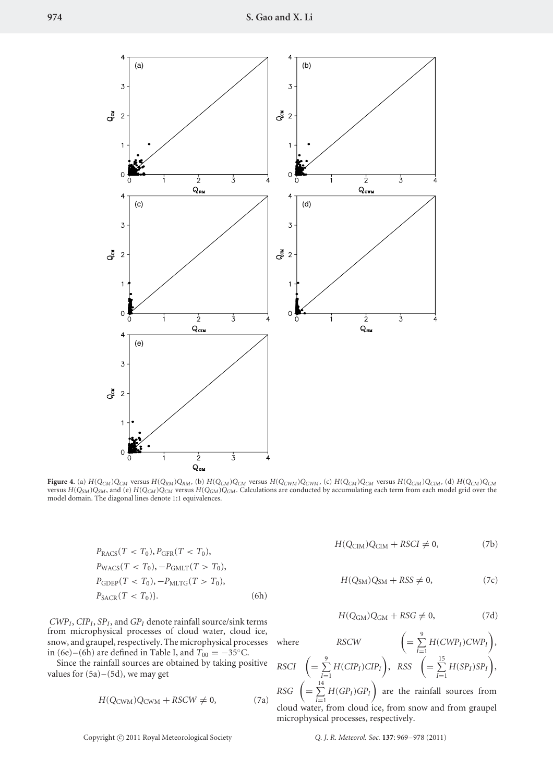

Figure 4. (a)  $H(Q_{CM})Q_{CM}$  versus  $H(Q_{RM})Q_{RM}$ , (b)  $H(Q_{CM})Q_{CM}$  versus  $H(Q_{CWM})Q_{CWM}$ , (c)  $H(Q_{CM})Q_{CM}$  versus  $H(Q_{GMM})Q_{CM}$ , (d)  $H(Q_{CM})Q_{CM}$ versus  $H(Q_{SM})Q_{SM}$ , and (e)  $H(Q_{CM})Q_{CM}$  versus  $H(Q_{GM})Q_{GM}$ . Calculations are conducted by accumulating each term from each model grid over the model domain. The diagonal lines denote 1:1 equivalences.

$$
P_{\text{RACS}}(T < T_0), P_{\text{GFR}}(T < T_0),
$$
\n
$$
P_{\text{WACS}}(T < T_0), -P_{\text{GMLT}}(T > T_0),
$$
\n
$$
P_{\text{GDEP}}(T < T_0), -P_{\text{MLTG}}(T > T_0),
$$
\n
$$
P_{\text{SACR}}(T < T_0)
$$
\n
$$
(6h)
$$

*CWPI*, *CIPI*, *SPI*, and *GPI* denote rainfall source/sink terms from microphysical processes of cloud water, cloud ice, snow, and graupel, respectively. The microphysical processes in (6e)–(6h) are defined in Table I, and  $T_{00} = -35$ <sup>°</sup>C.

Since the rainfall sources are obtained by taking positive values for  $(5a)–(5d)$ , we may get

$$
H(Q_{\text{CWM}})Q_{\text{CWM}} + RSCW \neq 0, \tag{7a}
$$

 $H(Q_{\text{CIM}})Q_{\text{CIM}} + RSCI \neq 0,$  (7b)

$$
H(Q_{SM})Q_{SM} + RSS \neq 0, \qquad (7c)
$$

$$
H(Q_{GM})Q_{GM} + RSG \neq 0, \tag{7d}
$$

where  $\qquad \qquad RSCW \qquad \qquad \bigg(=\sum_{i=1}^{9}$  $\sum_{I=1}^{9} H(CWP_I) CWP_I$ *RSCI*  $=\sum_{n=1}^{\infty}$  $\sum_{I=1}^{9} H(CIP_I)CIP_I$ , *RSS*  $\left( = \sum_{I=1}^{15}$  $\sum_{I=1}^{15} H(SP_I)SP_I$ *RSG*  $=$  $\sum$ <sup>14</sup>  $\sum_{I=1}^{14} H(GP_I)GP_I$  are the rainfall sources from cloud water, from cloud ice, from snow and from graupel microphysical processes, respectively.

Copyright (C) 2011 Royal Meteorological Society *Q. J. R. Meteorol. Soc.* 137: 969–978 (2011)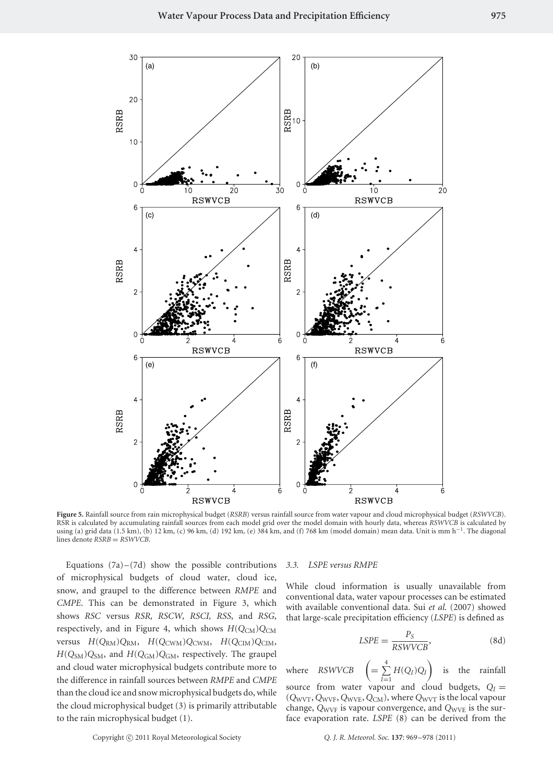

**Figure 5.** Rainfall source from rain microphysical budget (*RSRB*) versus rainfall source from water vapour and cloud microphysical budget (*RSWVCB*). RSR is calculated by accumulating rainfall sources from each model grid over the model domain with hourly data, whereas *RSWVCB* is calculated by using (a) grid data (1.5 km), (b) 12 km, (c) 96 km, (d) 192 km, (e) 384 km, and (f) 768 km (model domain) mean data. Unit is mm h<sup>-1</sup>. The diagonal lines denote *RSRB* = *RSWVCB*.

Equations  $(7a)$ – $(7d)$  show the possible contributions of microphysical budgets of cloud water, cloud ice, snow, and graupel to the difference between *RMPE* and *CMPE*. This can be demonstrated in Figure 3, which shows *RSC* versus *RSR, RSCW, RSCI, RSS*, and *RSG*, respectively, and in Figure 4, which shows  $H(Q<sub>CM</sub>)Q<sub>CM</sub>$ versus *H*(*Q*RM)*Q*RM, *H*(*Q*CWM)*Q*CWM, *H*(*Q*CIM)*Q*CIM, *H*(*Q*SM)*Q*SM, and *H*(*Q*GM)*Q*GM, respectively. The graupel and cloud water microphysical budgets contribute more to the difference in rainfall sources between *RMPE* and *CMPE* than the cloud ice and snow microphysical budgets do, while the cloud microphysical budget (3) is primarily attributable to the rain microphysical budget (1).

#### *3.3. LSPE versus RMPE*

While cloud information is usually unavailable from conventional data, water vapour processes can be estimated with available conventional data. Sui *et al.* (2007) showed that large-scale precipitation efficiency (*LSPE*) is defined as

$$
LSPE = \frac{P_S}{RSWVCB},\tag{8d}
$$

where *RSWVCB*  $=$  $\sum^4$  $\sum_{I=1}^4 H(Q_I)Q_I$ the rainfall source from water vapour and cloud budgets,  $Q_I =$  $(Q_{WVT}, Q_{WVF}, Q_{WVE}, Q_{CM})$ , where  $Q_{WVT}$  is the local vapour change,  $Q_{WVF}$  is vapour convergence, and  $Q_{WVF}$  is the surface evaporation rate. *LSPE* (8) can be derived from the

Copyright (C) 2011 Royal Meteorological Society *Q. J. R. Meteorol. Soc.* 137: 969–978 (2011)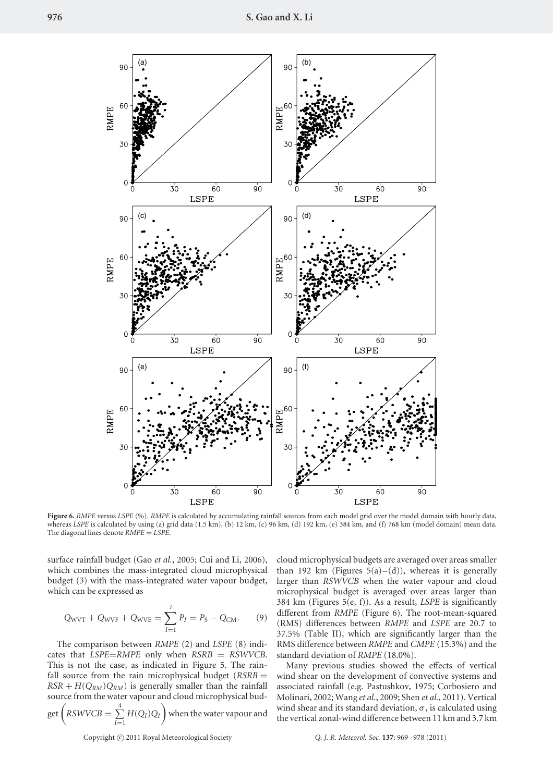

**Figure 6.** *RMPE* versus *LSPE* (%). *RMPE* is calculated by accumulating rainfall sources from each model grid over the model domain with hourly data, whereas *LSPE* is calculated by using (a) grid data (1.5 km), (b) 12 km, (c) 96 km, (d) 192 km, (e) 384 km, and (f) 768 km (model domain) mean data. The diagonal lines denote *RMPE* = *LSPE*.

surface rainfall budget (Gao *et al.*, 2005; Cui and Li, 2006), which combines the mass-integrated cloud microphysical budget (3) with the mass-integrated water vapour budget, which can be expressed as

$$
Q_{\text{WVT}} + Q_{\text{WVF}} + Q_{\text{WVE}} = \sum_{I=1}^{7} P_I = P_S - Q_{\text{CM}}.
$$
 (9)

The comparison between *RMPE* (2) and *LSPE* (8) indicates that *LSPE*=*RMPE* only when *RSRB* = *RSWVCB*. This is not the case, as indicated in Figure 5. The rainfall source from the rain microphysical budget (*RSRB* =  $RSR + H(Q_{RM})Q_{RM}$  is generally smaller than the rainfall source from the water vapour and cloud microphysical budget  $RSWVCB = \sum_{1}^{4}$  $\sum_{I=1}^{4} H(Q_I) Q_I$  when the water vapour and

cloud microphysical budgets are averaged over areas smaller than 192 km (Figures  $5(a)$ –(d)), whereas it is generally larger than *RSWVCB* when the water vapour and cloud microphysical budget is averaged over areas larger than 384 km (Figures 5(e, f)). As a result, *LSPE* is significantly different from *RMPE* (Figure 6). The root-mean-squared (RMS) differences between *RMPE* and *LSPE* are 20.7 to 37.5% (Table II), which are significantly larger than the RMS difference between *RMPE* and *CMPE* (15.3%) and the standard deviation of *RMPE* (18.0%).

Many previous studies showed the effects of vertical wind shear on the development of convective systems and associated rainfall (e.g. Pastushkov, 1975; Corbosiero and Molinari, 2002; Wang *et al.*, 2009; Shen *et al.*, 2011). Vertical wind shear and its standard deviation,  $\sigma$ , is calculated using the vertical zonal-wind difference between 11 km and 3.7 km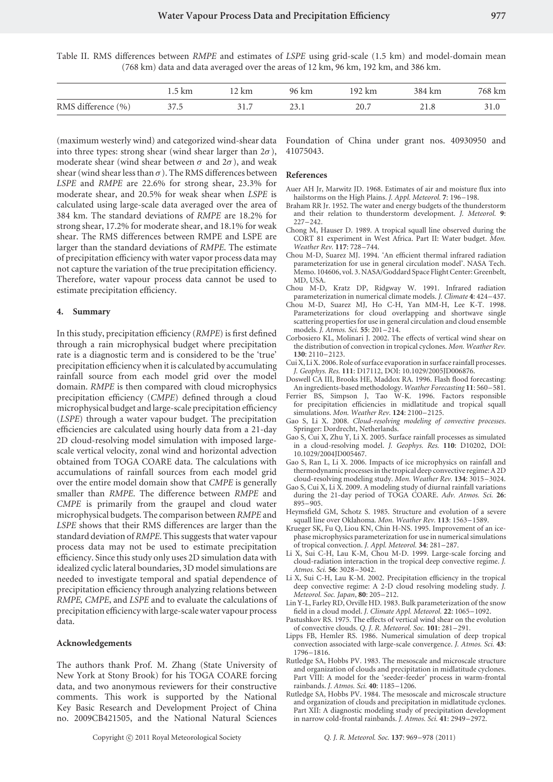Table II. RMS differences between *RMPE* and estimates of *LSPE* using grid-scale (1.5 km) and model-domain mean (768 km) data and data averaged over the areas of 12 km, 96 km, 192 km, and 386 km.

|                    | km           | km    | 96 km | 192 km | 384 km | 768 km |
|--------------------|--------------|-------|-------|--------|--------|--------|
| RMS difference (%) | 27 E<br>J/J. | J 1.I | 2.0.1 | 20.7   | 41.0   |        |

(maximum westerly wind) and categorized wind-shear data into three types: strong shear (wind shear larger than  $2\sigma$ ), moderate shear (wind shear between  $\sigma$  and  $2\sigma$ ), and weak shear (wind shear less than  $\sigma$ ). The RMS differences between *LSPE* and *RMPE* are 22.6% for strong shear, 23.3% for moderate shear, and 20.5% for weak shear when *LSPE* is calculated using large-scale data averaged over the area of 384 km. The standard deviations of *RMPE* are 18.2% for strong shear, 17.2% for moderate shear, and 18.1% for weak shear. The RMS differences between RMPE and LSPE are larger than the standard deviations of *RMPE*. The estimate of precipitation efficiency with water vapor process data may not capture the variation of the true precipitation efficiency. Therefore, water vapour process data cannot be used to estimate precipitation efficiency.

#### **4. Summary**

In this study, precipitation efficiency (*RMPE*) is first defined through a rain microphysical budget where precipitation rate is a diagnostic term and is considered to be the 'true' precipitation efficiency when it is calculated by accumulating rainfall source from each model grid over the model domain. *RMPE* is then compared with cloud microphysics precipitation efficiency (*CMPE*) defined through a cloud microphysical budget and large-scale precipitation efficiency (*LSPE*) through a water vapour budget. The precipitation efficiencies are calculated using hourly data from a 21-day 2D cloud-resolving model simulation with imposed largescale vertical velocity, zonal wind and horizontal advection obtained from TOGA COARE data. The calculations with accumulations of rainfall sources from each model grid over the entire model domain show that *CMPE* is generally smaller than *RMPE*. The difference between *RMPE* and *CMPE* is primarily from the graupel and cloud water microphysical budgets. The comparison between *RMPE* and *LSPE* shows that their RMS differences are larger than the standard deviation of *RMPE*. This suggests that water vapour process data may not be used to estimate precipitation efficiency. Since this study only uses 2D simulation data with idealized cyclic lateral boundaries, 3D model simulations are needed to investigate temporal and spatial dependence of precipitation efficiency through analyzing relations between *RMPE, CMPE*, and *LSPE* and to evaluate the calculations of precipitation efficiency with large-scale water vapour process data.

#### **Acknowledgements**

The authors thank Prof. M. Zhang (State University of New York at Stony Brook) for his TOGA COARE forcing data, and two anonymous reviewers for their constructive comments. This work is supported by the National Key Basic Research and Development Project of China no. 2009CB421505, and the National Natural Sciences Foundation of China under grant nos. 40930950 and 41075043.

#### **References**

Auer AH Jr, Marwitz JD. 1968. Estimates of air and moisture flux into hailstorms on the High Plains. *J. Appl. Meteorol.* **7**: 196–198.

- Braham RR Jr. 1952. The water and energy budgets of the thunderstorm and their relation to thunderstorm development. *J. Meteorol.* **9**: 227–242.
- Chong M, Hauser D. 1989. A tropical squall line observed during the CORT 81 experiment in West Africa. Part II: Water budget. *Mon. Weather Rev.* **117**: 728–744.
- Chou M-D, Suarez MJ. 1994. 'An efficient thermal infrared radiation parameterization for use in general circulation model'. NASA Tech. Memo. 104606, vol. 3. NASA/Goddard Space Flight Center: Greenbelt, MD, USA.
- Chou M-D, Kratz DP, Ridgway W. 1991. Infrared radiation parameterization in numerical climate models. *J. Climate* **4**: 424–437.
- Chou M-D, Suarez MJ, Ho C-H, Yan MM-H, Lee K-T. 1998. Parameterizations for cloud overlapping and shortwave single scattering properties for use in general circulation and cloud ensemble models. *J. Atmos. Sci.* **55**: 201–214.
- Corbosiero KL, Molinari J. 2002. The effects of vertical wind shear on the distribution of convection in tropical cyclones. *Mon. Weather Rev.* **130**: 2110–2123.
- Cui X, Li X. 2006. Role of surface evaporation in surface rainfall processes. *J. Geophys. Res.* **111**: D17112, DOI: 10.1029/2005JD006876.
- Doswell CA III, Brooks HE, Maddox RA. 1996. Flash flood forecasting: An ingredients-based methodology. *Weather Forecasting* **11**: 560–581.
- Ferrier BS, Simpson J, Tao W-K. 1996. Factors responsible for precipitation efficiencies in midlatitude and tropical squall simulations. *Mon. Weather Rev.* **124**: 2100–2125.
- Gao S, Li X. 2008. *Cloud-resolving modeling of convective processes*. Springer: Dordrecht, Netherlands.
- Gao S, Cui X, Zhu Y, Li X. 2005. Surface rainfall processes as simulated in a cloud-resolving model. *J. Geophys. Res.* **110**: D10202, DOI: 10.1029/2004JD005467.
- Gao S, Ran L, Li X. 2006. Impacts of ice microphysics on rainfall and thermodynamic processes in the tropical deep convective regime: A 2D cloud-resolving modeling study. *Mon. Weather Rev.* **134**: 3015–3024.
- Gao S, Cui X, Li X. 2009. A modeling study of diurnal rainfall variations during the 21-day period of TOGA COARE. *Adv. Atmos. Sci.* **26**: 895–905.
- Heymsfield GM, Schotz S. 1985. Structure and evolution of a severe squall line over Oklahoma. *Mon. Weather Rev.* **113**: 1563–1589.
- Krueger SK, Fu Q, Liou KN, Chin H-NS. 1995. Improvement of an icephase microphysics parameterization for use in numerical simulations of tropical convection. *J. Appl. Meteorol.* **34**: 281–287.
- Li X, Sui C-H, Lau K-M, Chou M-D. 1999. Large-scale forcing and cloud-radiation interaction in the tropical deep convective regime. *J. Atmos. Sci.* **56**: 3028–3042.
- Li X, Sui C-H, Lau K-M. 2002. Precipitation efficiency in the tropical deep convective regime: A 2-D cloud resolving modeling study. *J. Meteorol. Soc. Japan*, **80**: 205–212.
- Lin Y-L, Farley RD, Orville HD. 1983. Bulk parameterization of the snow field in a cloud model. *J. Climate Appl. Meteorol.* **22**: 1065–1092.
- Pastushkov RS. 1975. The effects of vertical wind shear on the evolution of convective clouds. *Q. J. R. Meteorol. Soc.* **101**: 281–291.
- Lipps FB, Hemler RS. 1986. Numerical simulation of deep tropical convection associated with large-scale convergence. *J. Atmos. Sci.* **43**: 1796–1816.
- Rutledge SA, Hobbs PV. 1983. The mesoscale and microscale structure and organization of clouds and precipitation in midlatitude cyclones. Part VIII: A model for the 'seeder-feeder' process in warm-frontal rainbands. *J. Atmos. Sci.* **40**: 1185–1206.
- Rutledge SA, Hobbs PV. 1984. The mesoscale and microscale structure and organization of clouds and precipitation in midlatitude cyclones. Part XII: A diagnostic modeling study of precipitation development in narrow cold-frontal rainbands. *J. Atmos. Sci.* **41**: 2949–2972.